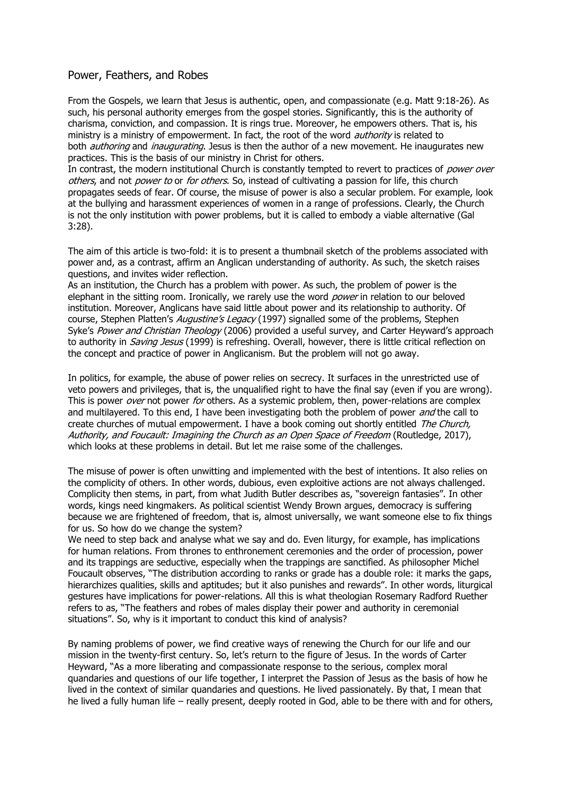## Power, Feathers, and Robes

From the Gospels, we learn that Jesus is authentic, open, and compassionate (e.g. Matt 9:18-26). As such, his personal authority emerges from the gospel stories. Significantly, this is the authority of charisma, conviction, and compassion. It is rings true. Moreover, he empowers others. That is, his ministry is a ministry of empowerment. In fact, the root of the word *authority* is related to both *authoring* and *inaugurating*. Jesus is then the author of a new movement. He inaugurates new practices. This is the basis of our ministry in Christ for others.

In contrast, the modern institutional Church is constantly tempted to revert to practices of *power over* others, and not power to or for others. So, instead of cultivating a passion for life, this church propagates seeds of fear. Of course, the misuse of power is also a secular problem. For example, look at the bullying and harassment experiences of women in a range of professions. Clearly, the Church is not the only institution with power problems, but it is called to embody a viable alternative (Gal 3:28).

The aim of this article is two-fold: it is to present a thumbnail sketch of the problems associated with power and, as a contrast, affirm an Anglican understanding of authority. As such, the sketch raises questions, and invites wider reflection.

As an institution, the Church has a problem with power. As such, the problem of power is the elephant in the sitting room. Ironically, we rarely use the word *power* in relation to our beloved institution. Moreover, Anglicans have said little about power and its relationship to authority. Of course, Stephen Platten's Augustine's Legacy (1997) signalled some of the problems, Stephen Syke's Power and Christian Theology (2006) provided a useful survey, and Carter Heyward's approach to authority in *Saving Jesus* (1999) is refreshing. Overall, however, there is little critical reflection on the concept and practice of power in Anglicanism. But the problem will not go away.

In politics, for example, the abuse of power relies on secrecy. It surfaces in the unrestricted use of veto powers and privileges, that is, the unqualified right to have the final say (even if you are wrong). This is power *over* not power for others. As a systemic problem, then, power-relations are complex and multilayered. To this end, I have been investigating both the problem of power *and* the call to create churches of mutual empowerment. I have a book coming out shortly entitled The Church, Authority, and Foucault: Imagining the Church as an Open Space of Freedom (Routledge, 2017), which looks at these problems in detail. But let me raise some of the challenges.

The misuse of power is often unwitting and implemented with the best of intentions. It also relies on the complicity of others. In other words, dubious, even exploitive actions are not always challenged. Complicity then stems, in part, from what Judith Butler describes as, "sovereign fantasies". In other words, kings need kingmakers. As political scientist Wendy Brown argues, democracy is suffering because we are frightened of freedom, that is, almost universally, we want someone else to fix things for us. So how do we change the system?

We need to step back and analyse what we say and do. Even liturgy, for example, has implications for human relations. From thrones to enthronement ceremonies and the order of procession, power and its trappings are seductive, especially when the trappings are sanctified. As philosopher Michel Foucault observes, "The distribution according to ranks or grade has a double role: it marks the gaps, hierarchizes qualities, skills and aptitudes; but it also punishes and rewards". In other words, liturgical gestures have implications for power-relations. All this is what theologian Rosemary Radford Ruether refers to as, "The feathers and robes of males display their power and authority in ceremonial situations". So, why is it important to conduct this kind of analysis?

By naming problems of power, we find creative ways of renewing the Church for our life and our mission in the twenty-first century. So, let's return to the figure of Jesus. In the words of Carter Heyward, "As a more liberating and compassionate response to the serious, complex moral quandaries and questions of our life together, I interpret the Passion of Jesus as the basis of how he lived in the context of similar quandaries and questions. He lived passionately. By that, I mean that he lived a fully human life – really present, deeply rooted in God, able to be there with and for others,